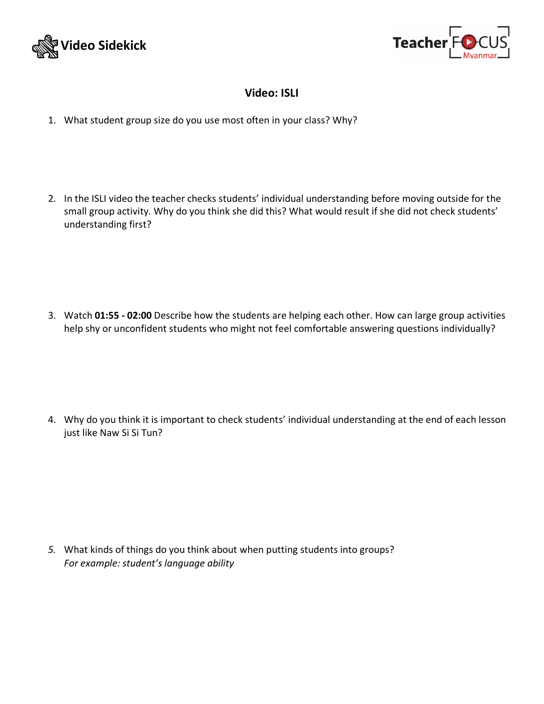



## **Video: ISLI**

- 1. What student group size do you use most often in your class? Why?
- 2. In the ISLI video the teacher checks students' individual understanding before moving outside for the small group activity. Why do you think she did this? What would result if she did not check students' understanding first?

3. Watch **01:55 - 02:00** Describe how the students are helping each other. How can large group activities help shy or unconfident students who might not feel comfortable answering questions individually?

4. Why do you think it is important to check students' individual understanding at the end of each lesson just like Naw Si Si Tun?

*5.* What kinds of things do you think about when putting students into groups? *For example: student's language ability*